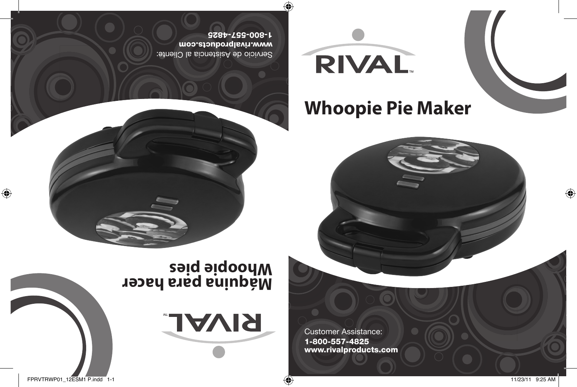RIVAL.

# **Whoopie Pie Maker**

Customer Assistance: 1-800-557-4825 www.rivalproducts.com

Servicio de Asistencia al Cliente: www.rivalproducts.com 1-800-557-4825





 $\bigoplus$ 

FPRVTRWP01\_12ESM1 P.indd 1-1 11/23/11 9:25 AM

 $\bigoplus$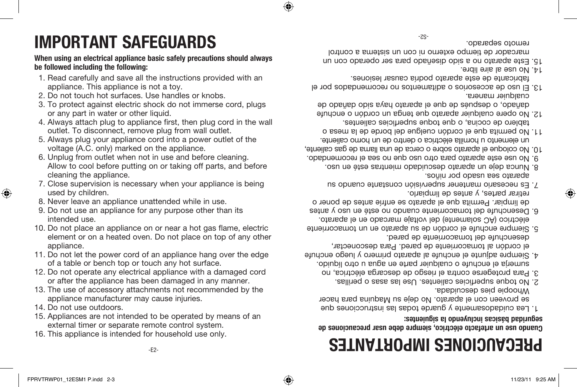♠

⊕

- 16. This appliance is intended for household use only.
- 15. Appliances are not intended to be operated by means of an external timer or separate remote control system.
- 
- appliance manufacturer may cause injuries. 14. Do not use outdoors.
- 13. The use of accessory attachments not recommended by the
- 12. Do not operate any electrical appliance with a damaged cord or after the appliance has been damaged in any manner.
- appliance. 11. Do not let the power cord of an appliance hang over the edge of a table or bench top or touch any hot surface.
- intended use. 10. Do not place an appliance on or near a hot gas flame, electric element or on a heated oven. Do not place on top of any other
- 8. Never leave an appliance unattended while in use. 9. Do not use an appliance for any purpose other than its
- 7. Close supervision is necessary when your appliance is being used by children.
- voltage (A.C. only) marked on the appliance. 6. Unplug from outlet when not in use and before cleaning. Allow to cool before putting on or taking off parts, and before cleaning the appliance.
- outlet. To disconnect, remove plug from wall outlet. 5. Always plug your appliance cord into a power outlet of the
- 4. Always attach plug to appliance first, then plug cord in the wall
- 2. Do not touch hot surfaces. Use handles or knobs. 3. To protect against electric shock do not immerse cord, plugs or any part in water or other liquid.
- 1. Read carefully and save all the instructions provided with an appliance. This appliance is not a toy.
- 
- **be followed including the following:**
- 
- 

# **PRECAUCIONES IMPORTANTES**

### **Cuando use un artefacto eléctrico, siempre debe usar precauciones de seguridad básicas incluyendo la siguientes:**

- Lea cuidadosamente y guarde todas las instrucciones que 1. se proveen con el aparato. No deje su Maquina para hacer Whoopie pies descuidada.
- No toque superficies calientes. Use las asas o perillas. 2.
- Para protegerse contra el riesgo de descarga eléctrica, no 3. sumerja el enchufe o cualquier parte en agua u otro líquido.
- Siempre adjunte el enchufe al aparato primero y luego enchufe 4. el cordón al tomacorriente de pared. Para desconectar,
- desenchufe del tomacorriente de pared. Siempre enchufe el cordón de su aparato en un tomacorriente 5. eléctrico (AC solamente) del voltaje marcado en el aparato.
- Desenchufe del tomacorriente cuando no esté en uso y antes 6. de limpiar. Permita que el aparato se enfríe antes de poner o retirar partes, y antes de limpiarlo.
- Es necesario mantener supervisión constante cuando su 7.
- aparato sea usado por niños. Nunca deje un aparato descuidado mientras esté en uso. 8.
- No use este aparato para otro uso que no sea el recomendado. 9. No coloque el aparato sobre o cerca de una llama de gas caliente, 10.
- un elemento u hornilla eléctrica o dentro de un horno caliente. No permita que el cordón cuelgue del borde de la mesa o 11. tablero de cocina, o que toque superficies calientes.
- No opere cualquier aparato que tenga un cordón o enchufe 12. dañado, o después de que el aparato haya sido dañado de
- cualquier manera. 13. El uso de accesorios o aditamentos no recomendados por el fabricante de este aparato podría causar lesiones.
- $14$ . No use al aire libre.
- Este aparato no a sido diseñado para ser operado con un 15. marcador de tiempo externo ni con un sistema a control remoto separado.

 $-7.5-$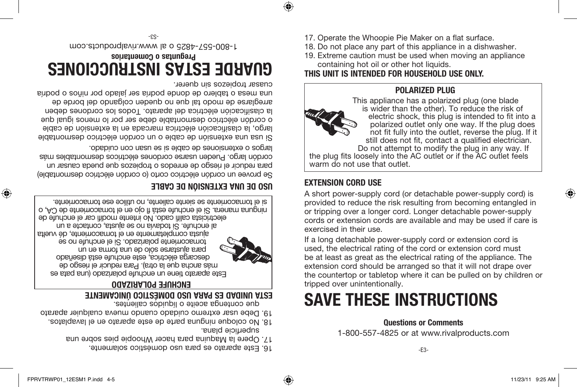-E3-

**Questions or Comments** 1-800-557-4825 or at www.rivalproducts.com

# **SAVE THESE INSTRUCTIONS**

If a long detachable power-supply cord or extension cord is be at least as great as the electrical rating of the appliance. The extension cord should be arranged so that it will not drape over the countertop or tabletop where it can be pulled on by children or

used, the electrical rating of the cord or extension cord must tripped over unintentionally.

A short power-supply cord (or detachable power-supply cord) is provided to reduce the risk resulting from becoming entangled in or tripping over a longer cord. Longer detachable power-supply cords or extension cords are available and may be used if care is exercised in their use.



**EXTENSION CORD USE**

cordón largo. Pueden usarse cordones eléctricos desmontables más largos o extensiones de cable si se usan con cuidado. Si usa una extensión de cable o un cordón eléctrico desmontable largo, la clasificación eléctrica marcada en la extensión de cable o cordón eléctrico desmontable debe ser por lo menos igual que la clasificación eléctrica del aparato. Todos los cordones deben arreglarse de modo tal que no queden colgando del borde de

Se provee un cordón eléctrico corto (o cordón eléctrico desmontable) para reducir el riesgo de enredos o tropiezos que pueda causar un

ninguna manera. Si el enchufe esta fl ojo en el tomacorriente de CA, o si el tomacorriente se siente caliente, no utilice ese tomacorriente.

> Este aparato es para uso doméstico solamente. 16. Opere la Maquina para hacer Whoopie pies sobre una 17.

que contenga aceite o líquidos calientes. **ESTA UNIDAD ES PARA USO DOMÉSTICO ÚNICAMENTE** 

No coloque ninguna parte de este aparato en el lavaplatos. 18. Debe usar extremo cuidado cuando mueva cualquier aparato 19.

**ENCHUFE POLARIZADO** Este aparato tiene un enchufe polarizado (una pata es más ancha que la otra). Para reducir el riesgo de descarga eléctrica, este enchufe está diseñado para ajustarse sólo de una forma en un tomacorriente polarizado. Si el enchufe no se ajusta completamente en el tomacorriente, dé vuelta al enchufe. Si todavía no se ajusta, contacte a un electricista califi cado. No intente modifi car el enchufe de

superficie plana.

**USO DE UNA EXTENSIÓN DE CABLE**

### cuasar tropiezos sin querer. **GUARDE ESTAS INSTRUCCIONES Preguntas o Comentarios**

una mesa o tablero de donde podría ser jalado por niños o podría

1-800-557-4825 o al www.rivalproducts.com



Do not attempt to modify the plug in any way. If the plug fits loosely into the AC outlet or if the AC outlet feels warm do not use that outlet.

**POLARIZED PLUG**

17. Operate the Whoopie Pie Maker on a flat surface. 18. Do not place any part of this appliance in a dishwasher. 19. Extreme caution must be used when moving an appliance

containing hot oil or other hot liquids. **THIS UNIT IS INTENDED FOR HOUSEHOLD USE ONLY.** 



♠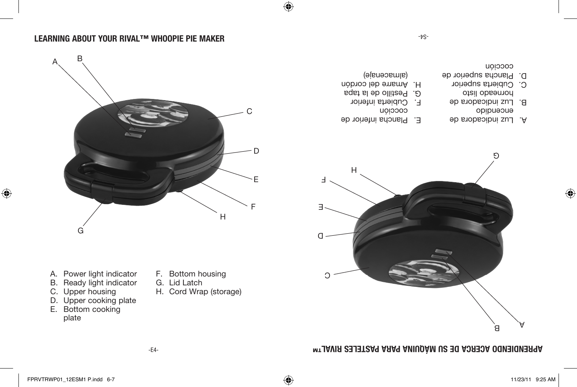### **APRENDIENDO ACERCA DE SU MÁQUINA PARA PASTELES RIVAL™**

- B. Ready light indicator C. Upper housing
- D. Upper cooking plate
- E. Bottom cooking plate
- H. Cord Wrap (storage)
- 
- G. Lid Latch
- F. Bottom housing
- A. Power light indicator
- 
- D E F H G
	-
- E. Plancha inferior de
- cocción F. Cubierta inferior
- 
- G. Pestillo de la tapa
- Amarre del cordón H.
- (almacenaje)

-t<sub>S</sub>-

- A. Luz indicadora de opipueoue
- B. Luz indicadora de
- horneado listo C. Cubierta superior
- D. Plancha superior de cocción

**LEARNING ABOUT YOUR RIVAL™ WHOOPIE PIE MAKER**

A

 $\bigoplus$ 

B







C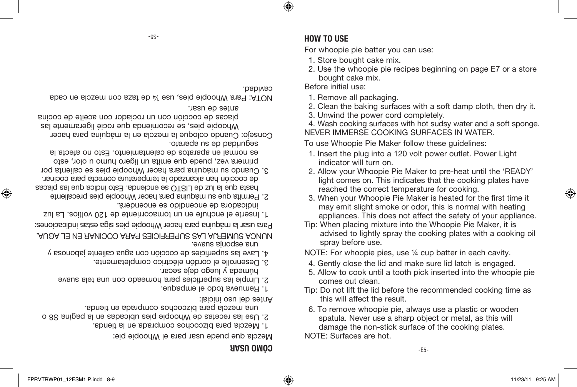**CÓMO USAR**

Mezcla que puede usar para el Whoopie pie:

Mezcla para bizcochos comprada en la tienda. 1.

2. Use las recetas de Whoopie pies ubicadas en la pagina S8 o

una mezcla para bizcochos comprada en tienda.

Antes del uso inicial:

- 
- Remueva todo el empaque. 1.
- S. Limpie las superficies para horneado con una tela suave
- húmeda y luego deje secar.
- Desenrolle el cordón eléctrico completamente. 3.
- Lave las superficies de cocción con agua caliente jabonosa y 4.
- una esponja suave.
- NUNCA SUMERJA LAS SUPERFICIES PARA COCINAR EN EL AGUA. Para usar la máquina para hacer Whoopie pies siga estas indicaciones:
- Inserte el enchufe en un tomacorriente de 120 voltios. La luz 1.
- indicadora de encendido se encenderá. Permita que su máquina para hacer Whoopie pies precaliente 2.
- hasta que la luz de LISTO se encienda. Esto indica que las placas de cocción han alcanzado la temperatura correcta para cocinar. 3. Cuando su maquina para hacer Whoopie pies se calienta por
- primera vez, puede que enita un ligero nomo u olor, esto es normal en aparatos de calentamiento. Esto no afecta la seguridad de su aparato.
- Consejo: Cuando coloque la mezcla en la máquina para hacer Whoopie pies, se recomienda que rocié ligeramente las
- placas de cocción con un rociador con aceite de cocina antes de usar.
- NOTA: Para Whoopie pies, use ¼ de taza con mezcla en cada

 $-GS-$ 

cavidad.

⊕

bought cake mix. 1. Remove all packaging.

spray before use.

comes out clean.

NOTE: Surfaces are hot.

this will affect the result.

Before initial use:

**HOW TO USE**

2. Clean the baking surfaces with a soft damp cloth, then dry it.

2. Use the whoopie pie recipes beginning on page E7 or a store

3. Unwind the power cord completely.

For whoopie pie batter you can use: 1. Store bought cake mix.

- 
- 4. Wash cooking surfaces with hot sudsy water and a soft sponge.
- 
- 

NEVER IMMERSE COOKING SURFACES IN WATER.

To use Whoopie Pie Maker follow these guidelines:

1. Insert the plug into a 120 volt power outlet. Power Light indicator will turn on.

Tip: When placing mixture into the Whoopie Pie Maker, it is

NOTE: For whoopie pies, use ¼ cup batter in each cavity. 4. Gently close the lid and make sure lid latch is engaged. 5. Allow to cook until a tooth pick inserted into the whoopie pie

- 2. Allow your Whoopie Pie Maker to pre-heat until the 'READY' light comes on. This indicates that the cooking plates have
- reached the correct temperature for cooking. 3. When your Whoopie Pie Maker is heated for the first time it may emit slight smoke or odor, this is normal with heating
- 
- 

appliances. This does not affect the safety of your appliance.

advised to lightly spray the cooking plates with a cooking oil

⊕

-E5-

Tip: Do not lift the lid before the recommended cooking time as

6. To remove whoopie pie, always use a plastic or wooden spatula. Never use a sharp object or metal, as this will damage the non-stick surface of the cooking plates.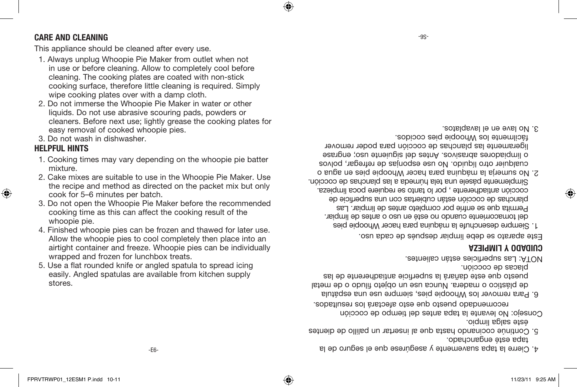### **CARE AND CLEANING**

This appliance should be cleaned after every use.

- 1. Always unplug Whoopie Pie Maker from outlet when not in use or before cleaning. Allow to completely cool before cleaning. The cooking plates are coated with non-stick cooking surface, therefore little cleaning is required. Simply wipe cooking plates over with a damp cloth.
- 2. Do not immerse the Whoopie Pie Maker in water or other liquids. Do not use abrasive scouring pads, powders or cleaners. Before next use; lightly grease the cooking plates for easy removal of cooked whoopie pies.
- 3. Do not wash in dishwasher.

### **HELPFUL HINTS**

⊕

- 1. Cooking times may vary depending on the whoopie pie batter mixture.
- 2. Cake mixes are suitable to use in the Whoopie Pie Maker. Use the recipe and method as directed on the packet mix but only cook for 5–6 minutes per batch.
- 3. Do not open the Whoopie Pie Maker before the recommended cooking time as this can affect the cooking result of the whoopie pie.
- 4. Finished whoopie pies can be frozen and thawed for later use. Allow the whoopie pies to cool completely then place into an airtight container and freeze. Whoopie pies can be individually wrapped and frozen for lunchbox treats.
- 5. Use a flat rounded knife or angled spatula to spread icing easily. Angled spatulas are available from kitchen supply stores.

No lave en el lavaplatos. 3.

cualquier otro líquido. No use esponjas de refregar, polvos o limpiadores abrasivos. Antes del siguiente uso; engrase ligeramente las planchas de cocción para poder remover fácilmente los Whoopie pies cocidos.

del tomacorriente cuando no esté en uso o antes de limpiar. Permita que se enfríe por completo antes de limpiar. Las planchas de cocción están cubiertas con una superficie de cocción antiadherente , por lo tanto se requiere poca limpieza. Simplemente pásele una tela húmeda a las planchas de cocción. No sumerja la máquina para hacer Whoopie pies en agua o 2.

Continúe cocinando hasta que al insertar un palillo de dientes 5.

Para remover los Whoopie pies, siempre use una espátula 6.

recomendado puesto que esto afectará los resultados.

Siempre desenchufe la máquina para hacer Whoopie pies 1.

Este aparato se debe limpiar después de cada uso.

Consejo: No levante la tapa antes del tiempo de coccion

### **CUIDADO Y LIMPIEZA**

NOTA: Las superficies están calientes.

tapa esté enganchado.

éste salga limpio.

placas de cocción.



⊕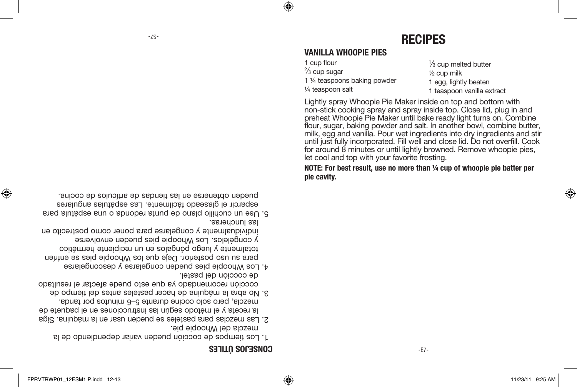⊕

-E7-

### CONSE<sub>10</sub>S OLLES

- Los tiempos de cocción pueden variar dependiendo de la 1. mezcla del Whoopie pie.
- Las mezclas para pasteles se pueden usar en la máquina. Siga 2. la receta y el método según las instrucciones en el paquete de mezcla, pero solo cocine durante 5–6 minutos por tanda.
- No abra la máquina de hacer pasteles antes del tiempo de 3. cocción recomendado ya que esto puede afectar el resultado de cocción del pastel.
- Los Whoopie pies pueden congelarse y descongelarse 4. para su uso posterior. Deje que los Whoopie pies se enfríen totalmente y luego pongalos en un recipiente hermético y congélelos. Los Whoopie pies pueden envolverse individualmente y congelarse para poner como postrecito en las luncheras.
- Use un cuchillo plano de punta redonda o una espátula para 5. esparcir el glaseado fácilmente. Las espátulas angulares
- pueden obtenerse en las tiendas de artículos de cocina.

**NOTE: For best result, use no more than ¼ cup of whoopie pie batter per pie cavity.** 

non-stick cooking spray and spray inside top. Close lid, plug in and preheat Whoopie Pie Maker until bake ready light turns on. Combine flour, sugar, baking powder and salt. In another bowl, combine butter, milk, egg and vanilla. Pour wet ingredients into dry ingredients and stir until just fully incorporated. Fill well and close lid. Do not overfill. Cook for around 8 minutes or until lightly browned. Remove whoopie pies, let cool and top with your favorite frosting.

¼ teaspoon salt 1 teaspoon vanilla extract Lightly spray Whoopie Pie Maker inside on top and bottom with

1 ⁄3 cup melted butter ½ cup milk 1 egg, lightly beaten

### **VANILLA WHOOPIE PIES**

1 ¼ teaspoons baking powder

-S7- **RECIPES**

⊕

1 cup flour  $\frac{2}{3}$  cup sugar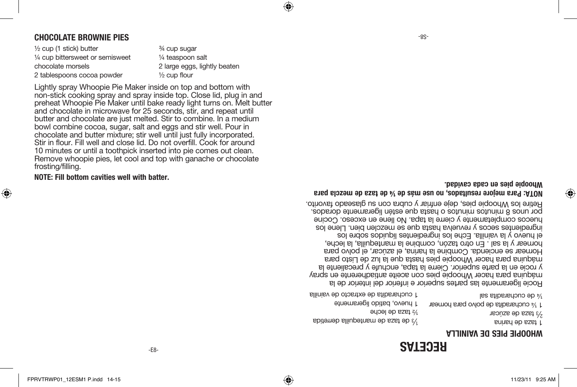#### **WHOOPIE PIES DE VAINILLA**

1 taza de harina 2 taza de azúcar 3⁄

<sup>1/3</sup> de taza de mantequilla derretida ½ taza de leche 1 huevo, batido ligeramente

1 <sup>1/4</sup> cucharadita de polvo para nornear las stibs adouced sal 1 cucharadita de extracto de vainilla

Rocíe ligeramente las partes superior e inferior del interior de la máquina para hacer Whoopie pies con aceite antiadherente en spray por unos 8 minutos minutos o hasta que estén ligeramente dorados.

**RECETAS**

## **Whoopie pies en cada cavidad.**

 $-8S-$ 

y rocíe en la parte superior. Cierre la tapa, enchufe y precaliente la máquina para hacer Whoopie pies hasta que la luz de Listo para Hornear se encienda. Combine la harina, el azúcar, el polvo para hornear y la sal . En otro tazón, combine la mantequilla, la leche, el huevo y la vainilla. Eche los ingredientes líquidos sobre los ingredientes secos y revuelva hasta que se mezclen bien. Llene los huecos completamente y cierre la tapa. No llene en exceso. Cocine Retire los Whoopie pies, deje enfriar y cubra con su glaseado favorito.

### **NOTA: Para mejore resultados, no use más de ¼ de taza de mezcla para**

**NOTE: Fill bottom cavities well with batter.**

⊕

and chocolate in microwave for 25 seconds, stir, and repeat until butter and chocolate are just melted. Stir to combine. In a medium bowl combine cocoa, sugar, salt and eggs and stir well. Pour in chocolate and butter mixture; stir well until just fully incorporated. Stir in flour. Fill well and close lid. Do not overfill. Cook for around 10 minutes or until a toothpick inserted into pie comes out clean. Remove whoopie pies, let cool and top with ganache or chocolate frosting/filling.

Lightly spray Whoopie Pie Maker inside on top and bottom with non-stick cooking spray and spray inside top. Close lid, plug in and preheat Whoopie Pie Maker until bake ready light turns on. Melt butter

½ cup (1 stick) butter ¼ cup bittersweet or semisweet chocolate morsels 2 tablespoons cocoa powder

¾ cup sugar ¼ teaspoon salt 2 large eggs, lightly beaten ½ cup flour

⊕

### **CHOCOLATE BROWNIE PIES**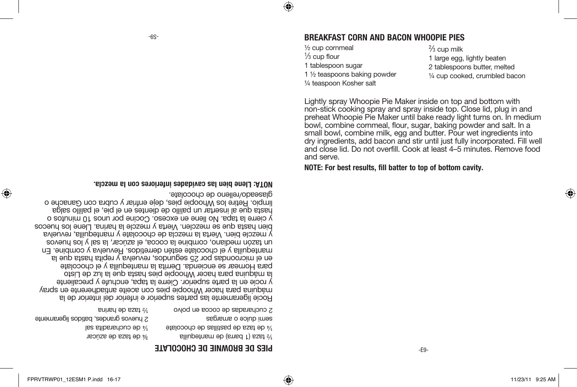#### -S9- **BREAKFAST CORN AND BACON WHOOPIE PIES**

½ cup cornmeal 1 ⁄3 cup flour 1 tablespoon sugar 1 ½ teaspoons baking powder ¼ teaspoon Kosher salt

 $\frac{2}{3}$  cup milk 1 large egg, lightly beaten 2 tablespoons butter, melted ¼ cup cooked, crumbled bacon

Lightly spray Whoopie Pie Maker inside on top and bottom with non-stick cooking spray and spray inside top. Close lid, plug in and preheat Whoopie Pie Maker until bake ready light turns on. In medium bowl, combine cornmeal, flour, sugar, baking powder and salt. In a small bowl, combine milk, egg and butter. Pour wet ingredients into dry ingredients, add bacon and stir until just fully incorporated. Fill well and close lid. Do not overfill. Cook at least 4–5 minutes. Remove food and serve.

**NOTE: For best results, fill batter to top of bottom cavity.**

#### **NOTA: Llene bien las cavidades inferiores con la mezcla.**

glaseado/relleno de chocolate.

Rocíe ligeramente las partes superior e inferior del interior de la máquina para hacer Whoopie pies con aceite antiadherente en spray y rocíe en la parte superior. Cierre la tapa, enchufe y precaliente la máquina para hacer Whoopie pies hasta que la luz de Listo para Hornear se encienda. Derrita la mantequilla y el chocolate en el microondas por 25 segundos, revuelva y repita hang la a mantequilla y el chocolate estén derretidos. Revuelva y combine. En un tazón mediano, combine la cocoa, el azúcar, la sal y los huevos y mezcle bien. Vierta la mezcla de chocolate y mantequilla, revuelva bien hasta que se mezclen. Vierta y mezcle la harina. Llene los huecos y cierre la tapa. No llene en exceso. Cocine por unos 10 minutos o hasta que al insertar un palillo de dientes en el pie, el palillo salga limpio. Retire los Whoopie pies, deje enfriar y cubra con Ganache o

| 2 cucharadas de cocoa en polvo                  | <b>Solution</b> of hanna              |
|-------------------------------------------------|---------------------------------------|
| seppeme o eolub images                          | 2 huevos grandes, batidos ligeramente |
| $\frac{1}{2}$ de taza de pastillas de chocolate | $\frac{1}{2}$ de cucharadita sal      |
| sliupetnam eb (smad 1) ssat s/                  | $\frac{1}{2}$ de taza de azúcar       |

#### **PIES DE BROWNIE DE CHOCOLATE**

⊕

♠

-E9-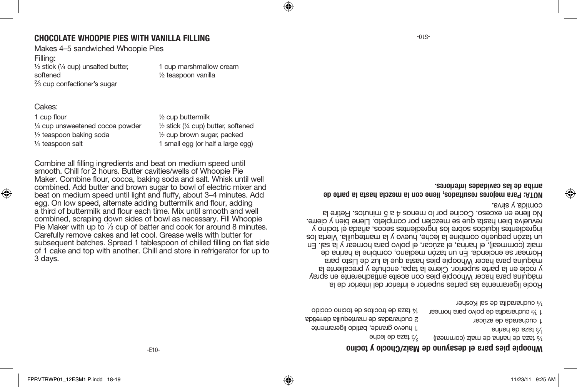-E10-

smooth. Chill for 2 hours. Butter cavities/wells of Whoopie Pie Maker. Combine flour, cocoa, baking soda and salt. Whisk until well combined. Add butter and brown sugar to bowl of electric mixer and beat on medium speed until light and fluffy, about 3–4 minutes. Add egg. On low speed, alternate adding buttermilk and flour, adding a third of buttermilk and flour each time. Mix until smooth and well combined, scraping down sides of bowl as necessary. Fill Whoopie Pie Maker with up to  $\frac{1}{3}$  cup of batter and cook for around 8 minutes. Carefully remove cakes and let cool. Grease wells with butter for subsequent batches. Spread 1 tablespoon of chilled filling on flat side of 1 cake and top with another. Chill and store in refrigerator for up to 3 days.

Combine all filling ingredients and beat on medium speed until

1 cup flour ¼ cup unsweetened cocoa powder ½ teaspoon baking soda ¼ teaspoon salt

½ cup buttermilk ½ stick (¼ cup) butter, softened ½ cup brown sugar, packed

⊕

1 small egg (or half a large egg)

Filling: ½ stick (¼ cup) unsalted butter, softened 2 ⁄3 cup confectioner's sugar

Cakes:

♠

Makes 4–5 sandwiched Whoopie Pies

1 cup marshmallow cream ½ teaspoon vanilla

### **CHOCOLATE WHOOPIE PIES WITH VANILLA FILLING**

comida y sirva.

⊕

**Whoopie pies para el desayuno de Maíz/Choclo y tocino**

½ taza de harina de maíz (cornmeal) 2 taza de leche 3⁄ 1 huevo grande, batido ligeramente 2 cucharadas de mantequilla derretida ¼ taza de trocitos de tocino cocido

1 taza de harina 3⁄ 1 cucharada de azúcar 1 ½ cucharadita de polvo para hornear ¼ cucharadita de sal Kosher

Rocíe ligeramente las partes superior e inferior del interior de la máquina para hacer Whoopie pies con aceite antiadherente en spray y rocíe en la parte superior. Cierre la tapa, enchufe y precaliente la máquina para hacer Whoopie pies hasta que la luz de Listo para Hornear se encienda. En un tazón mediano, combine la harina de maíz (cornmeal), el harina, el azucar, el polvo para nornear y la sal. En un tazón pequeño combine la leche, huevo y la mantequilla. Vierta los ingredientes líquidos sobre los ingredientes secos, añada el tocino y revuelva bien hasta que se mezclen por completo. Llene bien y cierre.

**NOTA: Para mejores resultados, llene con la mezcla hasta la parte de arriba de las cavidades inferiores.**

No llene en exceso. Cocine por lo menos 4 a 5 minutos. Retire la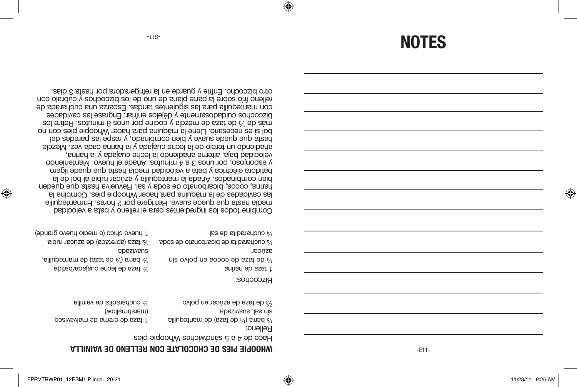⊕

-E11-

#### *MHOOPIE PIES DE CHOCOLATE CON RELLENO DE VAINILLA*

Hace de 4 a 5 sándwiches Whoopie pies

½ barra (¼ de taza) de mantequilla sin sal, suavizada <sup>2</sup>/3 de taza de azúcar en polvo 1 taza de crema de malvavisco (wollsmnallow) ½ cucharadita de vainilla

Bizcochos:

⊕

Relleno:

| $\frac{1}{2}$ cucharadita de sal                 | 1 huevo chico (o medio huevo grande)                         |
|--------------------------------------------------|--------------------------------------------------------------|
| $\frac{1}{2}$ cucharadita de bicarbonato de soda | $\frac{1}{2}$ taza (apretada) de azúcar rubia                |
| azncar                                           | <b>abaziveus</b>                                             |
| we cocos ep eze ap type on the cocos             | $\frac{1}{2}$ barra ( $\frac{1}{2}$ de taza) de mantequilla, |
| 5 taza de harina                                 | % taza de leche cuajada/batida                               |

Combine todos los ingredientes para el relleno y bata a velocidad media hasta que quede suave. Refrigere por 2 horas. Enmantequille las cavidades de la máquina para hacer Whoopie pies. Combine la harina, cocoa, bicarbonato de soda y sal. Revuelva hasta que queden bien combinados. Añada la mantequilla y azúcar rubia al bol de la batidora eléctrica y bata a velocidad media hasta que quede ligero y esponjoso, por unos 3 a 4 minutos. Añada el huevo. Manteniendo velocidad baja, alterne añadiendo la leche cuajada y la harina, añadiendo un tercio de la leche cuajada y la harina cada vez. Mezcle hasta que quede suave y bien combinado, y raspe las paredes del bol si es necesario. Llene la máquina para hacer Whoopie pies con no más de  $\frac{1}{3}$  de taza de mezcla y cocine por nor 8 zounios. Retire los bizcochos cuidadosamente y déjelos enfriar. Engrase las cavidades con mantequilla para las siguientes tandas. Esparza una cucharada de relleno frío sobre la parte plana de uno de los bizcochos y cúbralo con otro bizcocho. Enfríe y guarde en la refrigeradora por hasta 3 días.

**NOTES**